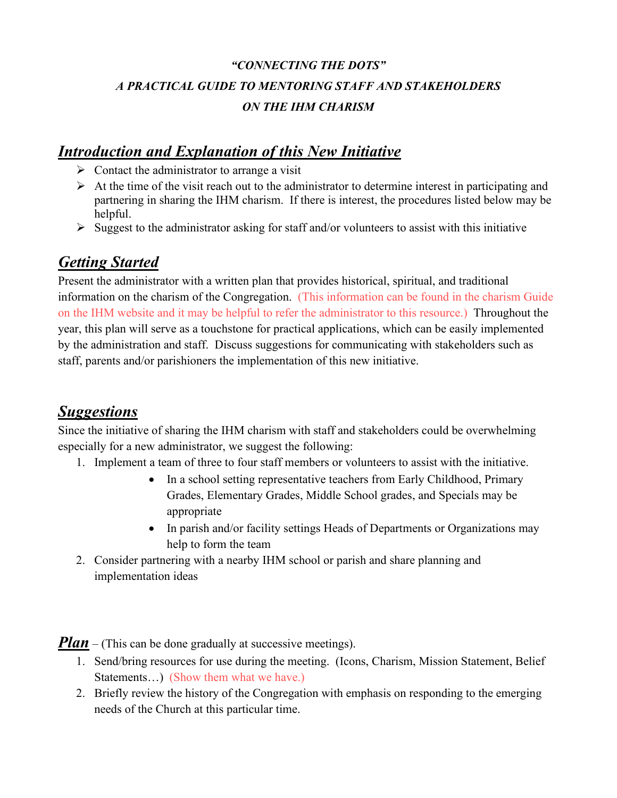# *"CONNECTING THE DOTS" A PRACTICAL GUIDE TO MENTORING STAFF AND STAKEHOLDERS ON THE IHM CHARISM*

# *Introduction and Explanation of this New Initiative*

- $\triangleright$  Contact the administrator to arrange a visit
- $\triangleright$  At the time of the visit reach out to the administrator to determine interest in participating and partnering in sharing the IHM charism. If there is interest, the procedures listed below may be helpful.
- $\triangleright$  Suggest to the administrator asking for staff and/or volunteers to assist with this initiative

#### *Getting Started*

Present the administrator with a written plan that provides historical, spiritual, and traditional information on the charism of the Congregation. (This information can be found in the charism Guide on the IHM website and it may be helpful to refer the administrator to this resource.) Throughout the year, this plan will serve as a touchstone for practical applications, which can be easily implemented by the administration and staff. Discuss suggestions for communicating with stakeholders such as staff, parents and/or parishioners the implementation of this new initiative.

#### *Suggestions*

Since the initiative of sharing the IHM charism with staff and stakeholders could be overwhelming especially for a new administrator, we suggest the following:

- 1. Implement a team of three to four staff members or volunteers to assist with the initiative.
	- In a school setting representative teachers from Early Childhood, Primary Grades, Elementary Grades, Middle School grades, and Specials may be appropriate
	- In parish and/or facility settings Heads of Departments or Organizations may help to form the team
- 2. Consider partnering with a nearby IHM school or parish and share planning and implementation ideas

*Plan* – (This can be done gradually at successive meetings).

- 1. Send/bring resources for use during the meeting. (Icons, Charism, Mission Statement, Belief Statements...) (Show them what we have.)
- 2. Briefly review the history of the Congregation with emphasis on responding to the emerging needs of the Church at this particular time.